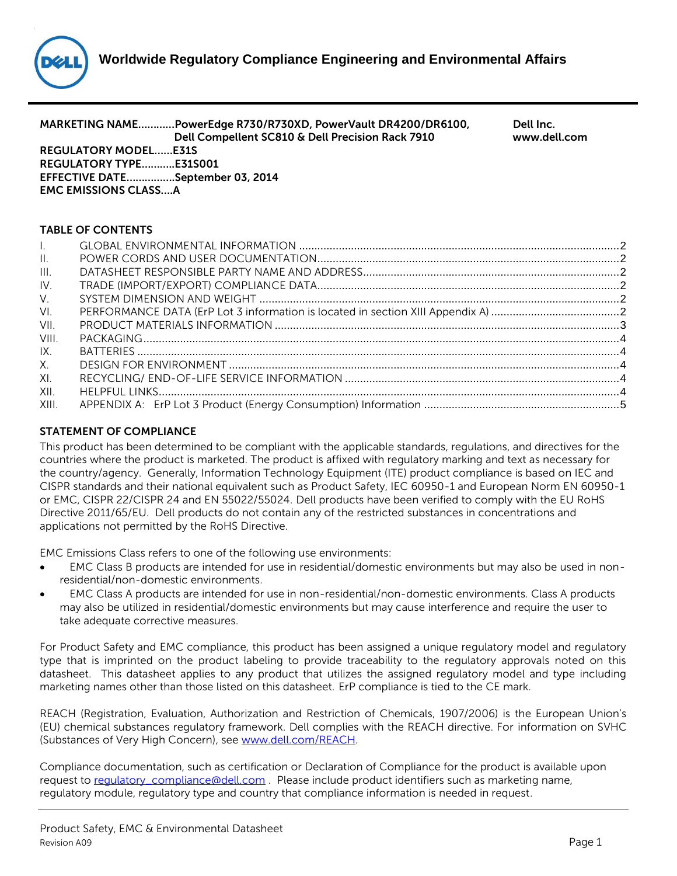

|              | MARKETING NAMEPowerEdge R730/R730XD, PowerVault DR4200/DR6100,<br>Dell Compellent SC810 & Dell Precision Rack 7910<br><b>REGULATORY MODELE31S</b><br><b>REGULATORY TYPEE31S001</b><br>EFFECTIVE DATESeptember 03, 2014<br><b>EMC EMISSIONS CLASSA</b> | Dell Inc.<br>www.dell.com |
|--------------|-------------------------------------------------------------------------------------------------------------------------------------------------------------------------------------------------------------------------------------------------------|---------------------------|
|              | <b>TABLE OF CONTENTS</b>                                                                                                                                                                                                                              |                           |
| $\mathbf{L}$ |                                                                                                                                                                                                                                                       |                           |
| $\mathbf{H}$ |                                                                                                                                                                                                                                                       |                           |
| III.         |                                                                                                                                                                                                                                                       |                           |
| $IV_{-}$     |                                                                                                                                                                                                                                                       |                           |
| $V_{\cdot}$  |                                                                                                                                                                                                                                                       |                           |
| VI.          |                                                                                                                                                                                                                                                       |                           |
| VII.         |                                                                                                                                                                                                                                                       |                           |
| VIII.        |                                                                                                                                                                                                                                                       |                           |
| IX.          |                                                                                                                                                                                                                                                       |                           |
| X.           |                                                                                                                                                                                                                                                       |                           |
| XI.          |                                                                                                                                                                                                                                                       |                           |
| XII.         |                                                                                                                                                                                                                                                       |                           |
| XIII.        |                                                                                                                                                                                                                                                       |                           |

# **STATEMENT OF COMPLIANCE**

This product has been determined to be compliant with the applicable standards, regulations, and directives for the countries where the product is marketed. The product is affixed with regulatory marking and text as necessary for the country/agency. Generally, Information Technology Equipment (ITE) product compliance is based on IEC and CISPR standards and their national equivalent such as Product Safety, IEC 60950-1 and European Norm EN 60950-1 or EMC, CISPR 22/CISPR 24 and EN 55022/55024. Dell products have been verified to comply with the EU RoHS Directive 2011/65/EU. Dell products do not contain any of the restricted substances in concentrations and applications not permitted by the RoHS Directive.

EMC Emissions Class refers to one of the following use environments:

- EMC Class B products are intended for use in residential/domestic environments but may also be used in nonresidential/non-domestic environments.
- EMC Class A products are intended for use in non-residential/non-domestic environments. Class A products may also be utilized in residential/domestic environments but may cause interference and require the user to take adequate corrective measures.

For Product Safety and EMC compliance, this product has been assigned a unique regulatory model and regulatory type that is imprinted on the product labeling to provide traceability to the regulatory approvals noted on this datasheet. This datasheet applies to any product that utilizes the assigned regulatory model and type including marketing names other than those listed on this datasheet. ErP compliance is tied to the CE mark.

REACH (Registration, Evaluation, Authorization and Restriction of Chemicals, 1907/2006) is the European Union's (EU) chemical substances regulatory framework. Dell complies with the REACH directive. For information on SVHC (Substances of Very High Concern), see [www.dell.com/REACH.](http://www.dell.com/REACH)

Compliance documentation, such as certification or Declaration of Compliance for the product is available upon request to requlatory\_compliance@dell.com . Please include product identifiers such as marketing name, regulatory module, regulatory type and country that compliance information is needed in request.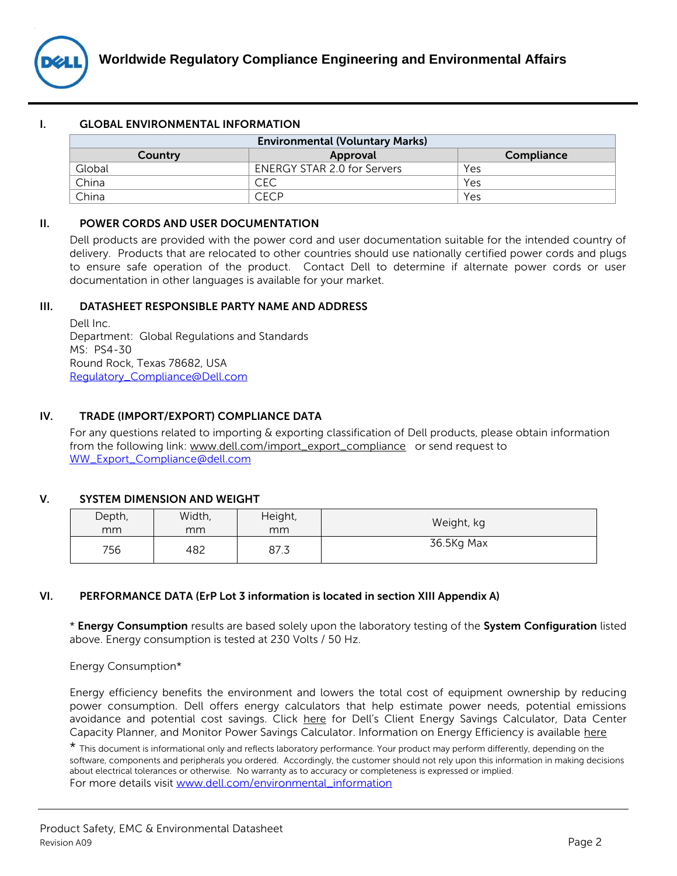

### <span id="page-1-0"></span>**I. GLOBAL ENVIRONMENTAL INFORMATION**

| <b>Environmental (Voluntary Marks)</b> |                                    |     |  |
|----------------------------------------|------------------------------------|-----|--|
| Compliance<br>Approval<br>Country      |                                    |     |  |
| Global                                 | <b>ENERGY STAR 2.0 for Servers</b> | Yes |  |
| China                                  | CEC                                | Yes |  |
| China                                  | CECP                               | Yes |  |

#### <span id="page-1-1"></span>**II. POWER CORDS AND USER DOCUMENTATION**

Dell products are provided with the power cord and user documentation suitable for the intended country of delivery. Products that are relocated to other countries should use nationally certified power cords and plugs to ensure safe operation of the product. Contact Dell to determine if alternate power cords or user documentation in other languages is available for your market.

#### <span id="page-1-2"></span>**III. DATASHEET RESPONSIBLE PARTY NAME AND ADDRESS**

Dell Inc. Department: Global Regulations and Standards MS: PS4-30 Round Rock, Texas 78682, USA [Regulatory\\_Compliance@Dell.com](mailto:Regulatory_Compliance@Dell.com)

# <span id="page-1-3"></span>**IV. TRADE (IMPORT/EXPORT) COMPLIANCE DATA**

For any questions related to importing & exporting classification of Dell products, please obtain information from the following link: [www.dell.com/import\\_export\\_compliance](http://www.dell.com/import_export_compliance) or send request to [WW\\_Export\\_Compliance@dell.com](mailto:WW_Export_Compliance@dell.com)

# <span id="page-1-4"></span>**V. SYSTEM DIMENSION AND WEIGHT**

| Depth, | Width, | Height, | Weight, kg |
|--------|--------|---------|------------|
| mm     | mm     | mm      |            |
| 756    | 482    | 87.3    | 36.5Kg Max |

# <span id="page-1-5"></span>**VI. PERFORMANCE DATA (ErP Lot 3 information is located in section XIII Appendix A)**

\* **Energy Consumption** results are based solely upon the laboratory testing of the **System Configuration** listed above. Energy consumption is tested at 230 Volts / 50 Hz.

Energy Consumption\*

Energy efficiency benefits the environment and lowers the total cost of equipment ownership by reducing power consumption. Dell offers energy calculators that help estimate power needs, potential emissions avoidance and potential cost savings. Click [here](http://content.dell.com/us/en/corp/d/corp-comm/earth-cio-corner-tools.aspx) for Dell's Client Energy Savings Calculator, Data Center Capacity Planner, and Monitor Power Savings Calculator. Information on Energy Efficiency is available [here](http://content.dell.com/us/en/corp/dell-environment-energy-efficiency.aspx)

\* This document is informational only and reflects laboratory performance. Your product may perform differently, depending on the software, components and peripherals you ordered. Accordingly, the customer should not rely upon this information in making decisions about electrical tolerances or otherwise. No warranty as to accuracy or completeness is expressed or implied. For more details visit [www.dell.com/environmental\\_information](http://www.dell.com/environmental_information)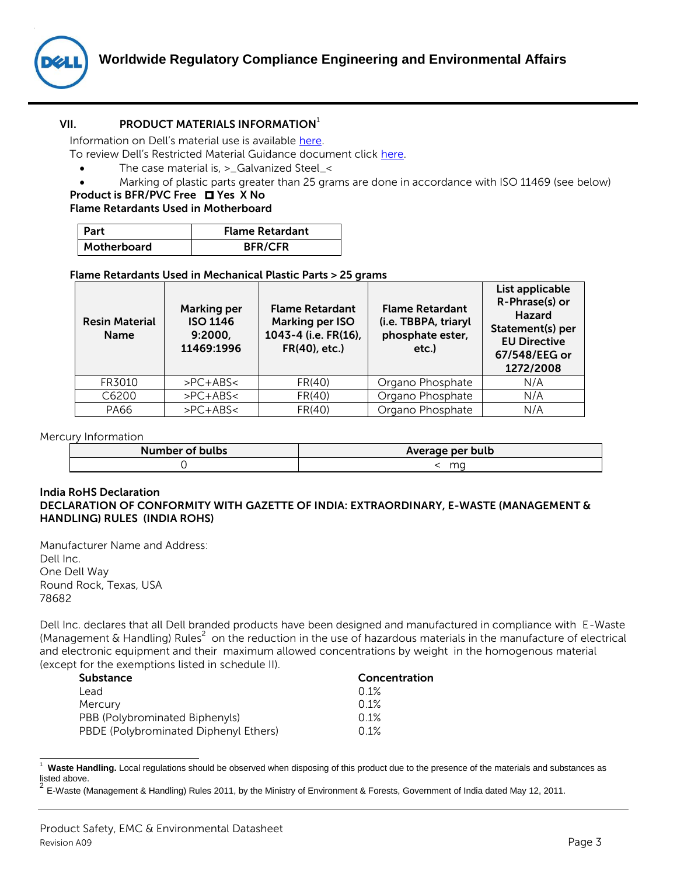

# **VII. PRODUCT MATERIALS INFORMATION**<sup>1</sup>

<span id="page-2-0"></span>Information on Dell's material use is available [here.](http://content.dell.com/us/en/corp/d/corp-comm/earth-greener-products-materials.aspx)

To review Dell's Restricted Material Guidance document click [here.](http://i.dell.com/sites/content/corporate/environment/en/Documents/earth-restricted-use-policy.pdf) 

- The case material is, >\_Galvanized Steel\_<
- Marking of plastic parts greater than 25 grams are done in accordance with ISO 11469 (see below)

# **Product is BFR/PVC Free**  $\Box$  **Yes X No**

# **Flame Retardants Used in Motherboard**

| l Part      | <b>Flame Retardant</b> |
|-------------|------------------------|
| Motherboard | <b>BFR/CFR</b>         |

#### **Flame Retardants Used in Mechanical Plastic Parts > 25 grams**

| <b>Resin Material</b><br><b>Name</b> | <b>Marking per</b><br><b>ISO 1146</b><br>9:2000,<br>11469:1996 | <b>Flame Retardant</b><br>Marking per ISO<br>1043-4 (i.e. FR(16),<br>FR(40), etc.) | <b>Flame Retardant</b><br>(i.e. TBBPA, triaryl<br>phosphate ester,<br>etc.) | List applicable<br>R-Phrase(s) or<br><b>Hazard</b><br>Statement(s) per<br><b>EU Directive</b><br>67/548/EEG or<br>1272/2008 |
|--------------------------------------|----------------------------------------------------------------|------------------------------------------------------------------------------------|-----------------------------------------------------------------------------|-----------------------------------------------------------------------------------------------------------------------------|
| FR3010                               | $>PC+ABS2$                                                     | FR(40)                                                                             | Organo Phosphate                                                            | N/A                                                                                                                         |
| C6200                                | $>PC+ABS2$                                                     | FR(40)                                                                             | Organo Phosphate                                                            | N/A                                                                                                                         |
| <b>PA66</b>                          | $>PC+ABS2$                                                     | FR(40)                                                                             | Organo Phosphate                                                            | N/A                                                                                                                         |

#### Mercury Information

| Number of bulbs | Average per bulb |
|-----------------|------------------|
|                 | ma               |

#### **India RoHS Declaration DECLARATION OF CONFORMITY WITH GAZETTE OF INDIA: EXTRAORDINARY, E-WASTE (MANAGEMENT & HANDLING) RULES (INDIA ROHS)**

Manufacturer Name and Address: Dell Inc. One Dell Way Round Rock, Texas, USA 78682

l

Dell Inc. declares that all Dell branded products have been designed and manufactured in compliance with E-Waste (Management & Handling) Rules<sup>2</sup> on the reduction in the use of hazardous materials in the manufacture of electrical and electronic equipment and their maximum allowed concentrations by weight in the homogenous material (except for the exemptions listed in schedule II).

| <b>Substance</b>                      | Concentration |  |
|---------------------------------------|---------------|--|
| Lead                                  | 0.1%          |  |
| Mercury                               | 0.1%          |  |
| PBB (Polybrominated Biphenyls)        | 0.1%          |  |
| PBDE (Polybrominated Diphenyl Ethers) | 0.1%          |  |

<sup>1</sup> **Waste Handling.** Local regulations should be observed when disposing of this product due to the presence of the materials and substances as listed above.<br><sup>2</sup> E Weste (**b** 

E-Waste (Management & Handling) Rules 2011, by the Ministry of Environment & Forests, Government of India dated May 12, 2011.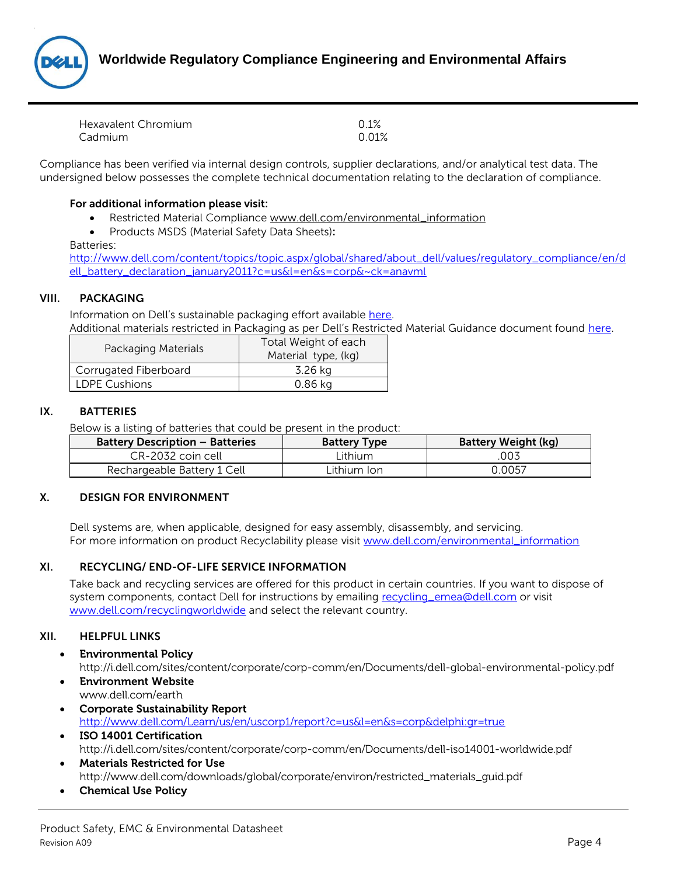

| Hexavalent Chromium | 0.1%  |
|---------------------|-------|
| Cadmium             | 0.01% |

Compliance has been verified via internal design controls, supplier declarations, and/or analytical test data. The undersigned below possesses the complete technical documentation relating to the declaration of compliance.

# **For additional information please visit:**

- Restricted Material Compliance [www.dell.com/environmental\\_information](http://www.dell.com/environmental_information)
- Products MSDS (Material Safety Data Sheets)**:**

#### Batteries:

[http://www.dell.com/content/topics/topic.aspx/global/shared/about\\_dell/values/regulatory\\_compliance/en/d](http://www.dell.com/content/topics/topic.aspx/global/shared/about_dell/values/regulatory_compliance/en/dell_battery_declaration_january2011?c=us&l=en&s=corp&~ck=anavml) [ell\\_battery\\_declaration\\_january2011?c=us&l=en&s=corp&~ck=anavml](http://www.dell.com/content/topics/topic.aspx/global/shared/about_dell/values/regulatory_compliance/en/dell_battery_declaration_january2011?c=us&l=en&s=corp&~ck=anavml)

#### <span id="page-3-0"></span>**VIII. PACKAGING**

Information on Dell's sustainable packaging effort available [here.](http://content.dell.com/us/en/corp/d/corp-comm/earth-products-packaging.aspx) Additional materials restricted in Packaging as per Dell's Restricted Material Guidance document found [here.](http://i.dell.com/sites/content/corporate/environment/en/Documents/earth-restricted-use-policy.pdf)

| Packaging Materials   | Total Weight of each<br>Material type, (kg) |
|-----------------------|---------------------------------------------|
| Corrugated Fiberboard | 3.26 kg                                     |
| <b>LDPE Cushions</b>  | 0.86 kg                                     |

#### <span id="page-3-1"></span>**IX. BATTERIES**

Below is a listing of batteries that could be present in the product:

| <b>Battery Description - Batteries</b> | <b>Battery Type</b> | <b>Battery Weight (kg)</b> |
|----------------------------------------|---------------------|----------------------------|
| CR-2032 coin cell                      | Lithium             | 003.                       |
| Rechargeable Battery 1 Cell            | Lithium Ion         | 0.0057                     |

#### <span id="page-3-2"></span>**X. DESIGN FOR ENVIRONMENT**

Dell systems are, when applicable, designed for easy assembly, disassembly, and servicing. For more information on product Recyclability please visit [www.dell.com/environmental\\_information](http://www.dell.com/environmental_information)

# <span id="page-3-3"></span>**XI. RECYCLING/ END-OF-LIFE SERVICE INFORMATION**

Take back and recycling services are offered for this product in certain countries. If you want to dispose of system components, contact Dell for instructions by emailing [recycling\\_emea@dell.com](mailto:recycling_emea@dell.com) or visit [www.dell.com/recyclingworldwide](http://www.dell.com/recyclingworldwide) and select the relevant country.

#### <span id="page-3-4"></span>**XII. HELPFUL LINKS**

- **Environmental Policy** <http://i.dell.com/sites/content/corporate/corp-comm/en/Documents/dell-global-environmental-policy.pdf>
- **Environment Website** [www.dell.com/earth](http://www.dell.com/earth)
- **Corporate Sustainability Report** <http://www.dell.com/Learn/us/en/uscorp1/report?c=us&l=en&s=corp&delphi:gr=true>
- **ISO 14001 Certification** <http://i.dell.com/sites/content/corporate/corp-comm/en/Documents/dell-iso14001-worldwide.pdf>
- **Materials Restricted for Use** [http://www.dell.com/downloads/global/corporate/environ/restricted\\_materials\\_guid.pdf](http://www.dell.com/downloads/global/corporate/environ/restricted_materials_guid.pdf)
- **Chemical Use Policy**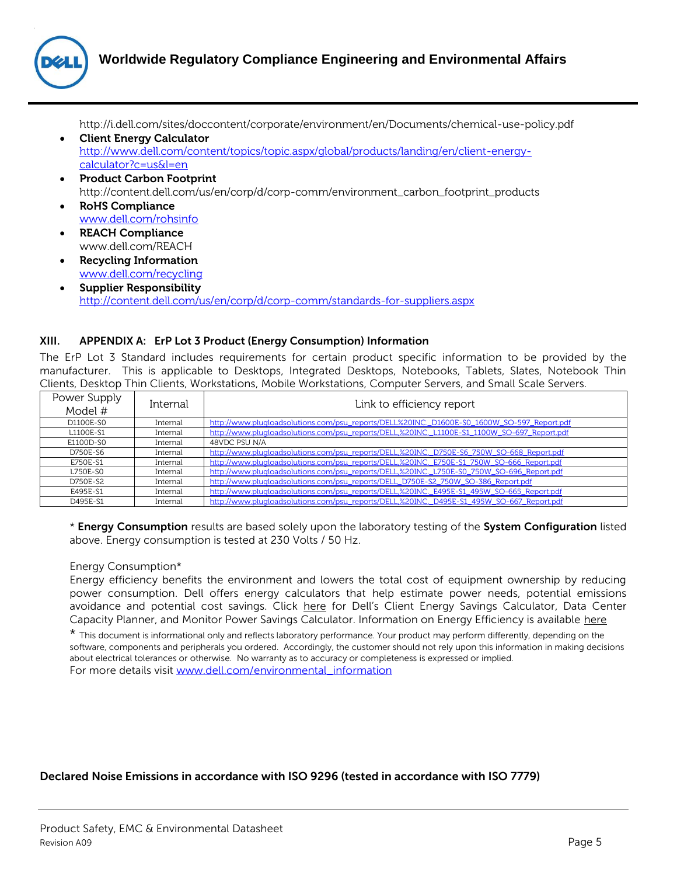

<http://i.dell.com/sites/doccontent/corporate/environment/en/Documents/chemical-use-policy.pdf>

- **Client Energy Calculator** [http://www.dell.com/content/topics/topic.aspx/global/products/landing/en/client-energy](http://www.dell.com/content/topics/topic.aspx/global/products/landing/en/client-energy-calculator?c=us&l=en)[calculator?c=us&l=en](http://www.dell.com/content/topics/topic.aspx/global/products/landing/en/client-energy-calculator?c=us&l=en)
- **Product Carbon Footprint** [http://content.dell.com/us/en/corp/d/corp-comm/environment\\_carbon\\_footprint\\_products](http://content.dell.com/us/en/corp/d/corp-comm/environment_carbon_footprint_products)
- **RoHS Compliance** [www.dell.com/rohsinfo](http://www.dell.com/rohsinfo)
- **REACH Compliance** [www.dell.com/REACH](http://www.dell.com/REACH)
- **Recycling Information** www.dell.com/recycling
- **Supplier Responsibility** <http://content.dell.com/us/en/corp/d/corp-comm/standards-for-suppliers.aspx>

# <span id="page-4-0"></span>**XIII. APPENDIX A: ErP Lot 3 Product (Energy Consumption) Information**

The ErP Lot 3 Standard includes requirements for certain product specific information to be provided by the manufacturer. This is applicable to Desktops, Integrated Desktops, Notebooks, Tablets, Slates, Notebook Thin Clients, Desktop Thin Clients, Workstations, Mobile Workstations, Computer Servers, and Small Scale Servers.

| Power Supply<br>Model # | Internal | Link to efficiency report                                                                   |
|-------------------------|----------|---------------------------------------------------------------------------------------------|
| D1100E-S0               | Internal | http://www.plugloadsolutions.com/psu_reports/DELL%20INC_D1600E-S0_1600W_SO-597_Report.pdf   |
| L1100E-S1               | Internal | http://www.plugloadsolutions.com/psu_reports/DELL,%20INC._L1100E-S1_1100W_SO-697_Report.pdf |
| E1100D-S0               | Internal | 48VDC PSU N/A                                                                               |
| D750E-S6                | Internal | http://www.pluqloadsolutions.com/psu_reports/DELL,%20INC_D750E-S6_750W_SO-668_Report.pdf    |
| E750E-S1                | Internal | http://www.pluqloadsolutions.com/psu_reports/DELL,%20INC._E750E-S1_750W_SO-666_Report.pdf   |
| <b>L750E-S0</b>         | Internal | http://www.pluqloadsolutions.com/psu_reports/DELL,%20INC._L750E-S0_750W_SO-696_Report.pdf   |
| D750E-S2                | Internal | http://www.plugloadsolutions.com/psu_reports/DELL_D750E-S2_750W_SO-386_Report.pdf           |
| E495E-S1                | Internal | http://www.plugloadsolutions.com/psu_reports/DELL,%20INC._E495E-S1_495W_SO-665_Report.pdf   |
| D495E-S1                | Internal | http://www.plugloadsolutions.com/psu_reports/DELL,%20INC._D495E-S1_495W_SO-667_Report.pdf   |

\* **Energy Consumption** results are based solely upon the laboratory testing of the **System Configuration** listed above. Energy consumption is tested at 230 Volts / 50 Hz.

#### Energy Consumption\*

Energy efficiency benefits the environment and lowers the total cost of equipment ownership by reducing power consumption. Dell offers energy calculators that help estimate power needs, potential emissions avoidance and potential cost savings. Click [here](http://content.dell.com/us/en/corp/d/corp-comm/earth-cio-corner-tools.aspx) for Dell's Client Energy Savings Calculator, Data Center Capacity Planner, and Monitor Power Savings Calculator. Information on Energy Efficiency is available [here](http://content.dell.com/us/en/corp/dell-environment-energy-efficiency.aspx)

\* This document is informational only and reflects laboratory performance. Your product may perform differently, depending on the software, components and peripherals you ordered. Accordingly, the customer should not rely upon this information in making decisions about electrical tolerances or otherwise. No warranty as to accuracy or completeness is expressed or implied. For more details visit [www.dell.com/environmental\\_information](http://www.dell.com/environmental_information)

# **Declared Noise Emissions in accordance with ISO 9296 (tested in accordance with ISO 7779)**